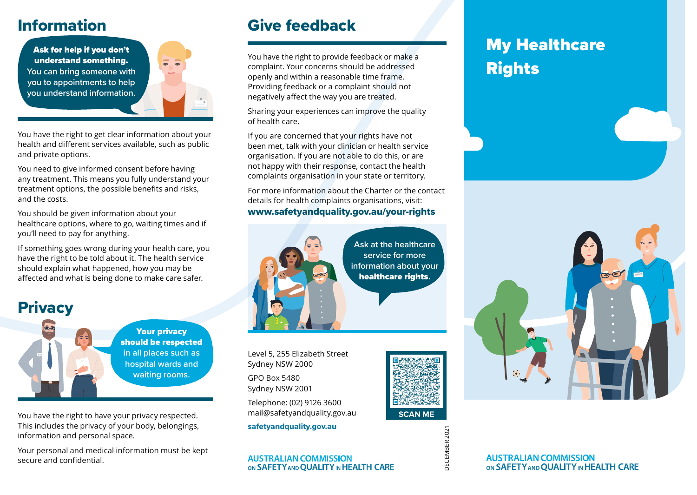## Information

Ask for help if you don't understand something. **You can bring someone with you to appointments to help you understand information.**

You have the right to get clear information about your health and different services available, such as public and private options.

You need to give informed consent before having any treatment. This means you fully understand your treatment options, the possible benefits and risks, and the costs.

You should be given information about your healthcare options, where to go, waiting times and if you'll need to pay for anything.

If something goes wrong during your health care, you have the right to be told about it. The health service should explain what happened, how you may be affected and what is being done to make care safer.

## **Privacy**



You have the right to have your privacy respected. This includes the privacy of your body, belongings, information and personal space.

Your personal and medical information must be kept secure and confidential.

# Give feedback

You have the right to provide feedback or make a complaint. Your concerns should be addressed openly and within a reasonable time frame. Providing feedback or a complaint should not negatively affect the way you are treated.

Sharing your experiences can improve the quality of health care.

If you are concerned that your rights have not been met, talk with your clinician or health service organisation. If you are not able to do this, or are not happy with their response, contact the health complaints organisation in your state or territory.

For more information about the Charter or the contact details for health complaints organisations, visit: [www.safetyandquality.gov.au/](www.safetyandquality.gov.au/consumers/working-your-healthcare-provider/australian-charter-healthcare-rights)your-rights



Level 5, 255 Elizabeth Street Sydney NSW 2000

GPO Box 5480 Sydney NSW 2001

Telephone: (02) 9126 3600 mail@safetyandquality.gov.au

**AUSTRALIAN COMMISSION** 

ON SAFETY AND OUALITY IN HEALTH CARE

safetyandquality.gov.au



DECEMBER 2021 DECEMBER 2021

# My Healthcare **Rights**



**AUSTRALIAN COMMISSION** ON SAFETY AND OUALITY IN HEALTH CARE